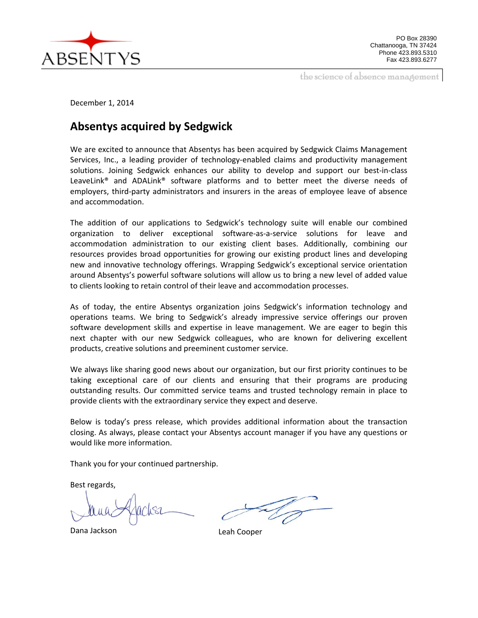

the science of absence management

December 1, 2014

## **Absentys acquired by Sedgwick**

We are excited to announce that Absentys has been acquired by Sedgwick Claims Management Services, Inc., a leading provider of technology-enabled claims and productivity management solutions. Joining Sedgwick enhances our ability to develop and support our best-in-class LeaveLink® and ADALink® software platforms and to better meet the diverse needs of employers, third-party administrators and insurers in the areas of employee leave of absence and accommodation.

The addition of our applications to Sedgwick's technology suite will enable our combined organization to deliver exceptional software‐as‐a‐service solutions for leave and accommodation administration to our existing client bases. Additionally, combining our resources provides broad opportunities for growing our existing product lines and developing new and innovative technology offerings. Wrapping Sedgwick's exceptional service orientation around Absentys's powerful software solutions will allow us to bring a new level of added value to clients looking to retain control of their leave and accommodation processes.

As of today, the entire Absentys organization joins Sedgwick's information technology and operations teams. We bring to Sedgwick's already impressive service offerings our proven software development skills and expertise in leave management. We are eager to begin this next chapter with our new Sedgwick colleagues, who are known for delivering excellent products, creative solutions and preeminent customer service.

We always like sharing good news about our organization, but our first priority continues to be taking exceptional care of our clients and ensuring that their programs are producing outstanding results. Our committed service teams and trusted technology remain in place to provide clients with the extraordinary service they expect and deserve.

Below is today's press release, which provides additional information about the transaction closing. As always, please contact your Absentys account manager if you have any questions or would like more information.

Thank you for your continued partnership.

Best regards,

Dana Jackson **Leah Cooper**